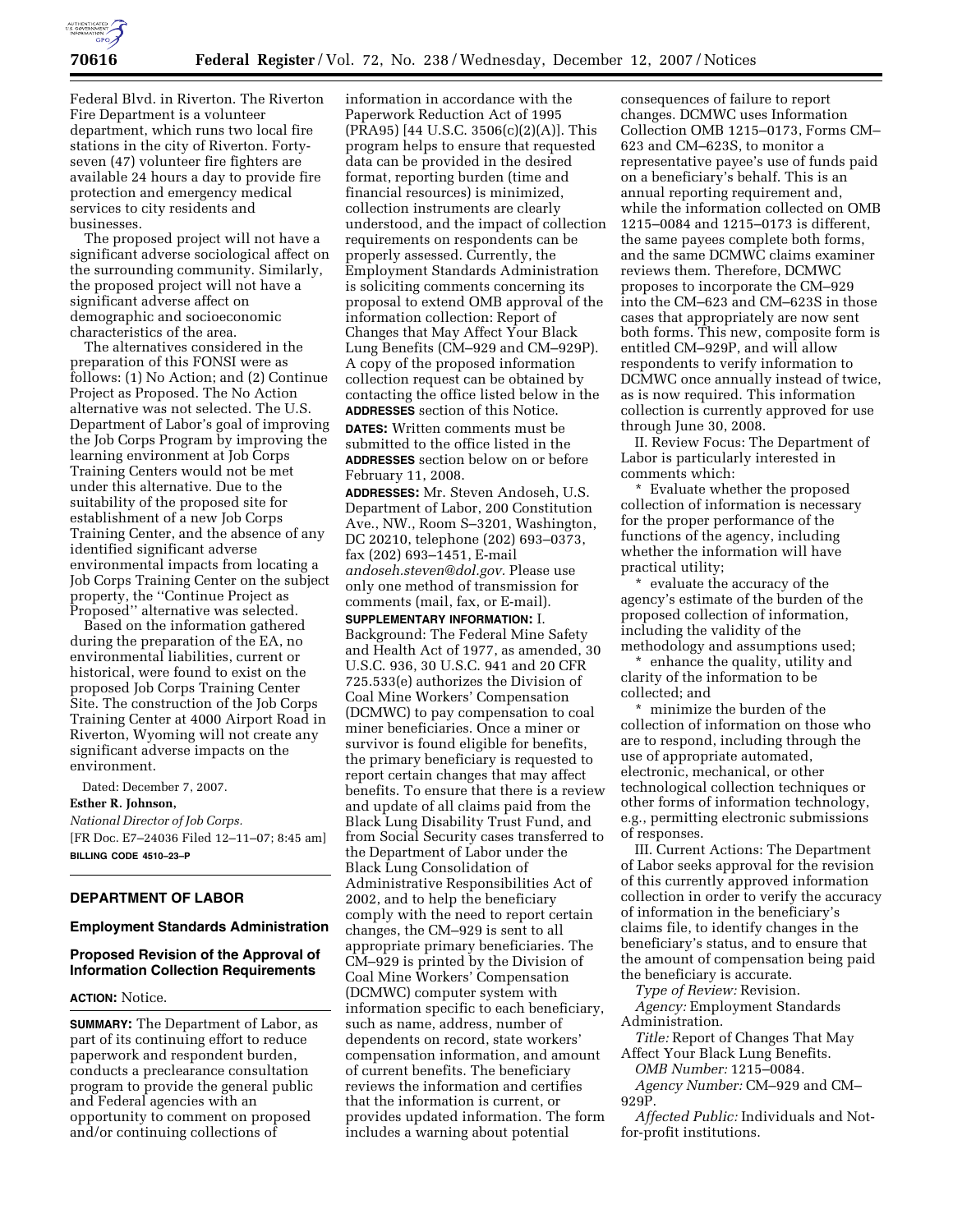

Federal Blvd. in Riverton. The Riverton Fire Department is a volunteer department, which runs two local fire stations in the city of Riverton. Fortyseven (47) volunteer fire fighters are available 24 hours a day to provide fire protection and emergency medical services to city residents and businesses.

The proposed project will not have a significant adverse sociological affect on the surrounding community. Similarly, the proposed project will not have a significant adverse affect on demographic and socioeconomic characteristics of the area.

The alternatives considered in the preparation of this FONSI were as follows: (1) No Action; and (2) Continue Project as Proposed. The No Action alternative was not selected. The U.S. Department of Labor's goal of improving the Job Corps Program by improving the learning environment at Job Corps Training Centers would not be met under this alternative. Due to the suitability of the proposed site for establishment of a new Job Corps Training Center, and the absence of any identified significant adverse environmental impacts from locating a Job Corps Training Center on the subject property, the ''Continue Project as Proposed'' alternative was selected.

Based on the information gathered during the preparation of the EA, no environmental liabilities, current or historical, were found to exist on the proposed Job Corps Training Center Site. The construction of the Job Corps Training Center at 4000 Airport Road in Riverton, Wyoming will not create any significant adverse impacts on the environment.

Dated: December 7, 2007.

**Esther R. Johnson,** 

*National Director of Job Corps.*  [FR Doc. E7–24036 Filed 12–11–07; 8:45 am] **BILLING CODE 4510–23–P** 

# **DEPARTMENT OF LABOR**

### **Employment Standards Administration**

# **Proposed Revision of the Approval of Information Collection Requirements**

### **ACTION:** Notice.

**SUMMARY:** The Department of Labor, as part of its continuing effort to reduce paperwork and respondent burden, conducts a preclearance consultation program to provide the general public and Federal agencies with an opportunity to comment on proposed and/or continuing collections of

information in accordance with the Paperwork Reduction Act of 1995 (PRA95) [44 U.S.C. 3506(c)(2)(A)]. This program helps to ensure that requested data can be provided in the desired format, reporting burden (time and financial resources) is minimized, collection instruments are clearly understood, and the impact of collection requirements on respondents can be properly assessed. Currently, the Employment Standards Administration is soliciting comments concerning its proposal to extend OMB approval of the information collection: Report of Changes that May Affect Your Black Lung Benefits (CM–929 and CM–929P). A copy of the proposed information collection request can be obtained by contacting the office listed below in the **ADDRESSES** section of this Notice.

**DATES:** Written comments must be submitted to the office listed in the **ADDRESSES** section below on or before February 11, 2008.

**ADDRESSES:** Mr. Steven Andoseh, U.S. Department of Labor, 200 Constitution Ave., NW., Room S–3201, Washington, DC 20210, telephone (202) 693–0373, fax (202) 693–1451, E-mail *andoseh.steven@dol.gov.* Please use only one method of transmission for comments (mail, fax, or E-mail).

**SUPPLEMENTARY INFORMATION:** I. Background: The Federal Mine Safety and Health Act of 1977, as amended, 30 U.S.C. 936, 30 U.S.C. 941 and 20 CFR 725.533(e) authorizes the Division of Coal Mine Workers' Compensation (DCMWC) to pay compensation to coal miner beneficiaries. Once a miner or survivor is found eligible for benefits, the primary beneficiary is requested to report certain changes that may affect benefits. To ensure that there is a review and update of all claims paid from the Black Lung Disability Trust Fund, and from Social Security cases transferred to the Department of Labor under the Black Lung Consolidation of Administrative Responsibilities Act of 2002, and to help the beneficiary comply with the need to report certain changes, the CM–929 is sent to all appropriate primary beneficiaries. The CM–929 is printed by the Division of Coal Mine Workers' Compensation (DCMWC) computer system with information specific to each beneficiary, such as name, address, number of dependents on record, state workers' compensation information, and amount of current benefits. The beneficiary reviews the information and certifies that the information is current, or provides updated information. The form includes a warning about potential

consequences of failure to report changes. DCMWC uses Information Collection OMB 1215–0173, Forms CM– 623 and CM–623S, to monitor a representative payee's use of funds paid on a beneficiary's behalf. This is an annual reporting requirement and, while the information collected on OMB 1215–0084 and 1215–0173 is different, the same payees complete both forms, and the same DCMWC claims examiner reviews them. Therefore, DCMWC proposes to incorporate the CM–929 into the CM–623 and CM–623S in those cases that appropriately are now sent both forms. This new, composite form is entitled CM–929P, and will allow respondents to verify information to DCMWC once annually instead of twice, as is now required. This information collection is currently approved for use through June 30, 2008.

II. Review Focus: The Department of Labor is particularly interested in comments which:

\* Evaluate whether the proposed collection of information is necessary for the proper performance of the functions of the agency, including whether the information will have practical utility;

\* evaluate the accuracy of the agency's estimate of the burden of the proposed collection of information, including the validity of the methodology and assumptions used;

\* enhance the quality, utility and clarity of the information to be

collected; and

\* minimize the burden of the collection of information on those who are to respond, including through the use of appropriate automated, electronic, mechanical, or other technological collection techniques or other forms of information technology, e.g., permitting electronic submissions of responses.

III. Current Actions: The Department of Labor seeks approval for the revision of this currently approved information collection in order to verify the accuracy of information in the beneficiary's claims file, to identify changes in the beneficiary's status, and to ensure that the amount of compensation being paid the beneficiary is accurate.

*Type of Review:* Revision.

*Agency:* Employment Standards Administration.

*Title:* Report of Changes That May Affect Your Black Lung Benefits.

*OMB Number:* 1215–0084.

*Agency Number:* CM–929 and CM– 929P.

*Affected Public:* Individuals and Notfor-profit institutions.